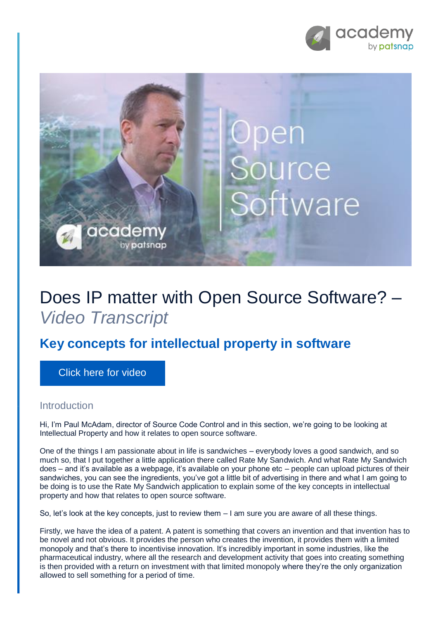



## Does IP matter with Open Source Software? – *Video Transcript*

## **Key concepts for intellectual property in software**

[Click here for video](https://academy.patsnap.com/courses/5aa90c52a8103300142e12e2/units/5b06d287252c450014cc142e#module-0)

## **Introduction**

Hi, I'm Paul McAdam, director of Source Code Control and in this section, we're going to be looking at Intellectual Property and how it relates to open source software.

One of the things I am passionate about in life is sandwiches – everybody loves a good sandwich, and so much so, that I put together a little application there called Rate My Sandwich. And what Rate My Sandwich does – and it's available as a webpage, it's available on your phone etc – people can upload pictures of their sandwiches, you can see the ingredients, you've got a little bit of advertising in there and what I am going to be doing is to use the Rate My Sandwich application to explain some of the key concepts in intellectual property and how that relates to open source software.

So, let's look at the key concepts, just to review them – I am sure you are aware of all these things.

Firstly, we have the idea of a patent. A patent is something that covers an invention and that invention has to be novel and not obvious. It provides the person who creates the invention, it provides them with a limited monopoly and that's there to incentivise innovation. It's incredibly important in some industries, like the pharmaceutical industry, where all the research and development activity that goes into creating something is then provided with a return on investment with that limited monopoly where they're the only organization allowed to sell something for a period of time.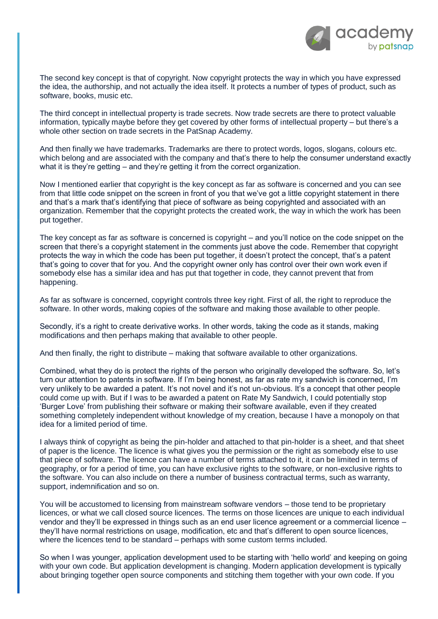

The second key concept is that of copyright. Now copyright protects the way in which you have expressed the idea, the authorship, and not actually the idea itself. It protects a number of types of product, such as software, books, music etc.

The third concept in intellectual property is trade secrets. Now trade secrets are there to protect valuable information, typically maybe before they get covered by other forms of intellectual property – but there's a whole other section on trade secrets in the PatSnap Academy.

And then finally we have trademarks. Trademarks are there to protect words, logos, slogans, colours etc. which belong and are associated with the company and that's there to help the consumer understand exactly what it is they're getting – and they're getting it from the correct organization.

Now I mentioned earlier that copyright is the key concept as far as software is concerned and you can see from that little code snippet on the screen in front of you that we've got a little copyright statement in there and that's a mark that's identifying that piece of software as being copyrighted and associated with an organization. Remember that the copyright protects the created work, the way in which the work has been put together.

The key concept as far as software is concerned is copyright – and you'll notice on the code snippet on the screen that there's a copyright statement in the comments just above the code. Remember that copyright protects the way in which the code has been put together, it doesn't protect the concept, that's a patent that's going to cover that for you. And the copyright owner only has control over their own work even if somebody else has a similar idea and has put that together in code, they cannot prevent that from happening.

As far as software is concerned, copyright controls three key right. First of all, the right to reproduce the software. In other words, making copies of the software and making those available to other people.

Secondly, it's a right to create derivative works. In other words, taking the code as it stands, making modifications and then perhaps making that available to other people.

And then finally, the right to distribute – making that software available to other organizations.

Combined, what they do is protect the rights of the person who originally developed the software. So, let's turn our attention to patents in software. If I'm being honest, as far as rate my sandwich is concerned, I'm very unlikely to be awarded a patent. It's not novel and it's not un-obvious. It's a concept that other people could come up with. But if I was to be awarded a patent on Rate My Sandwich, I could potentially stop 'Burger Love' from publishing their software or making their software available, even if they created something completely independent without knowledge of my creation, because I have a monopoly on that idea for a limited period of time.

I always think of copyright as being the pin-holder and attached to that pin-holder is a sheet, and that sheet of paper is the licence. The licence is what gives you the permission or the right as somebody else to use that piece of software. The licence can have a number of terms attached to it, it can be limited in terms of geography, or for a period of time, you can have exclusive rights to the software, or non-exclusive rights to the software. You can also include on there a number of business contractual terms, such as warranty, support, indemnification and so on.

You will be accustomed to licensing from mainstream software vendors – those tend to be proprietary licences, or what we call closed source licences. The terms on those licences are unique to each individual vendor and they'll be expressed in things such as an end user licence agreement or a commercial licence – they'll have normal restrictions on usage, modification, etc and that's different to open source licences, where the licences tend to be standard – perhaps with some custom terms included.

So when I was younger, application development used to be starting with 'hello world' and keeping on going with your own code. But application development is changing. Modern application development is typically about bringing together open source components and stitching them together with your own code. If you